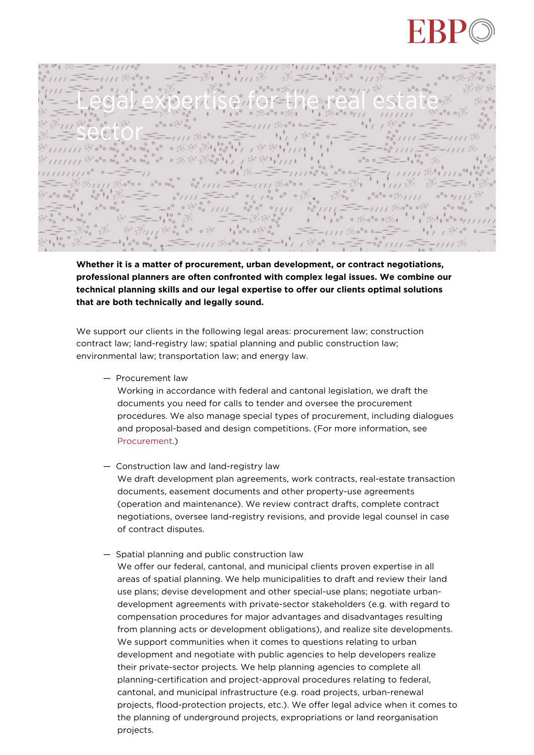

 $0/10<sub>n</sub>$  $.74111a$ Legal expertise for the real estate **sector**  $D_{\infty}$ 

**Whether it is a matter of procurement, urban development, or contract negotiations, professional planners are often confronted with complex legal issues. We combine our technical planning skills and our legal expertise to offer our clients optimal solutions that are both technically and legally sound.**

We support our clients in the following legal areas: procurement law; construction contract law; land-registry law; spatial planning and public construction law; environmental law; transportation law; and energy law.

— Procurement law

Working in accordance with federal and cantonal legislation, we draft the documents you need for calls to tender and oversee the procurement procedures. We also manage special types of procurement, including dialogues and proposal-based and design competitions. (For more information, see [Procurement](https://www.ebp.ch/en/topics/infrastructure/procurement-management).)

- Construction law and land-registry law We draft development plan agreements, work contracts, real-estate transaction documents, easement documents and other property-use agreements (operation and maintenance). We review contract drafts, complete contract negotiations, oversee land-registry revisions, and provide legal counsel in case of contract disputes.
- Spatial planning and public construction law
	- We offer our federal, cantonal, and municipal clients proven expertise in all areas of spatial planning. We help municipalities to draft and review their land use plans; devise development and other special-use plans; negotiate urbandevelopment agreements with private-sector stakeholders (e.g. with regard to compensation procedures for major advantages and disadvantages resulting from planning acts or development obligations), and realize site developments. We support communities when it comes to questions relating to urban development and negotiate with public agencies to help developers realize their private-sector projects. We help planning agencies to complete all planning-certification and project-approval procedures relating to federal, cantonal, and municipal infrastructure (e.g. road projects, urban-renewal projects, flood-protection projects, etc.). We offer legal advice when it comes to the planning of underground projects, expropriations or land reorganisation projects.